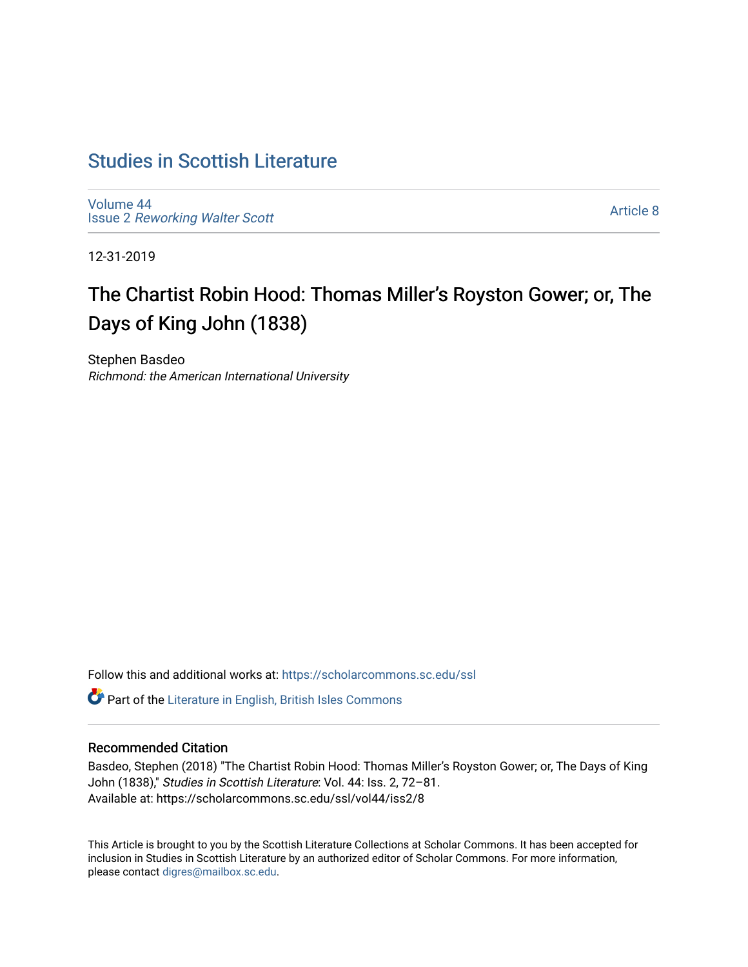## [Studies in Scottish Literature](https://scholarcommons.sc.edu/ssl)

[Volume 44](https://scholarcommons.sc.edu/ssl/vol44) Issue 2 [Reworking Walter Scott](https://scholarcommons.sc.edu/ssl/vol44/iss2) 

[Article 8](https://scholarcommons.sc.edu/ssl/vol44/iss2/8) 

12-31-2019

# The Chartist Robin Hood: Thomas Miller's Royston Gower; or, The Days of King John (1838)

Stephen Basdeo Richmond: the American International University

Follow this and additional works at: [https://scholarcommons.sc.edu/ssl](https://scholarcommons.sc.edu/ssl?utm_source=scholarcommons.sc.edu%2Fssl%2Fvol44%2Fiss2%2F8&utm_medium=PDF&utm_campaign=PDFCoverPages) 

**C** Part of the [Literature in English, British Isles Commons](http://network.bepress.com/hgg/discipline/456?utm_source=scholarcommons.sc.edu%2Fssl%2Fvol44%2Fiss2%2F8&utm_medium=PDF&utm_campaign=PDFCoverPages)

### Recommended Citation

Basdeo, Stephen (2018) "The Chartist Robin Hood: Thomas Miller's Royston Gower; or, The Days of King John (1838)," Studies in Scottish Literature: Vol. 44: Iss. 2, 72–81. Available at: https://scholarcommons.sc.edu/ssl/vol44/iss2/8

This Article is brought to you by the Scottish Literature Collections at Scholar Commons. It has been accepted for inclusion in Studies in Scottish Literature by an authorized editor of Scholar Commons. For more information, please contact [digres@mailbox.sc.edu](mailto:digres@mailbox.sc.edu).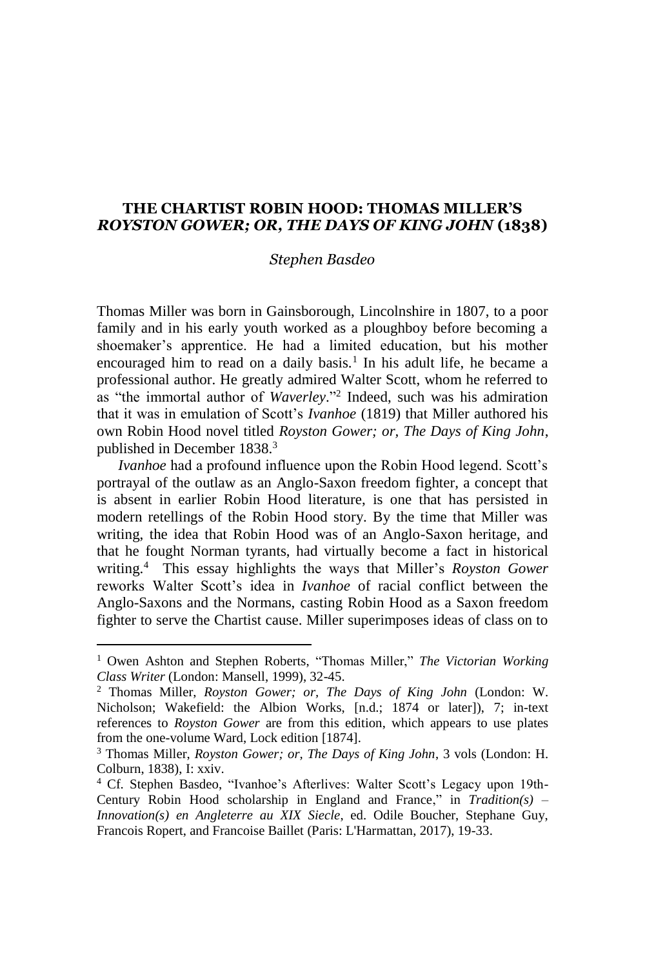#### **THE CHARTIST ROBIN HOOD: THOMAS MILLER'S**  *ROYSTON GOWER; OR, THE DAYS OF KING JOHN* **(1838)**

#### *Stephen Basdeo*

Thomas Miller was born in Gainsborough, Lincolnshire in 1807, to a poor family and in his early youth worked as a ploughboy before becoming a shoemaker's apprentice. He had a limited education, but his mother encouraged him to read on a daily basis.<sup>1</sup> In his adult life, he became a professional author. He greatly admired Walter Scott, whom he referred to as "the immortal author of *Waverley*." 2 Indeed, such was his admiration that it was in emulation of Scott's *Ivanhoe* (1819) that Miller authored his own Robin Hood novel titled *Royston Gower; or, The Days of King John*, published in December 1838.<sup>3</sup>

*Ivanhoe* had a profound influence upon the Robin Hood legend. Scott's portrayal of the outlaw as an Anglo-Saxon freedom fighter, a concept that is absent in earlier Robin Hood literature, is one that has persisted in modern retellings of the Robin Hood story. By the time that Miller was writing, the idea that Robin Hood was of an Anglo-Saxon heritage, and that he fought Norman tyrants, had virtually become a fact in historical writing.<sup>4</sup> This essay highlights the ways that Miller's *Royston Gower* reworks Walter Scott's idea in *Ivanhoe* of racial conflict between the Anglo-Saxons and the Normans, casting Robin Hood as a Saxon freedom fighter to serve the Chartist cause. Miller superimposes ideas of class on to

<sup>1</sup> Owen Ashton and Stephen Roberts, "Thomas Miller," *The Victorian Working Class Writer* (London: Mansell, 1999), 32-45.

<sup>2</sup> Thomas Miller, *Royston Gower; or, The Days of King John* (London: W. Nicholson; Wakefield: the Albion Works, [n.d.; 1874 or later]), 7; in-text references to *Royston Gower* are from this edition, which appears to use plates from the one-volume Ward, Lock edition [1874].

<sup>3</sup> Thomas Miller, *Royston Gower; or, The Days of King John*, 3 vols (London: H. Colburn, 1838), I: xxiv.

<sup>4</sup> Cf. Stephen Basdeo, "Ivanhoe's Afterlives: Walter Scott's Legacy upon 19th-Century Robin Hood scholarship in England and France," in *Tradition(s) – Innovation(s) en Angleterre au XIX Siecle*, ed. Odile Boucher, Stephane Guy, Francois Ropert, and Francoise Baillet (Paris: L'Harmattan, 2017), 19-33.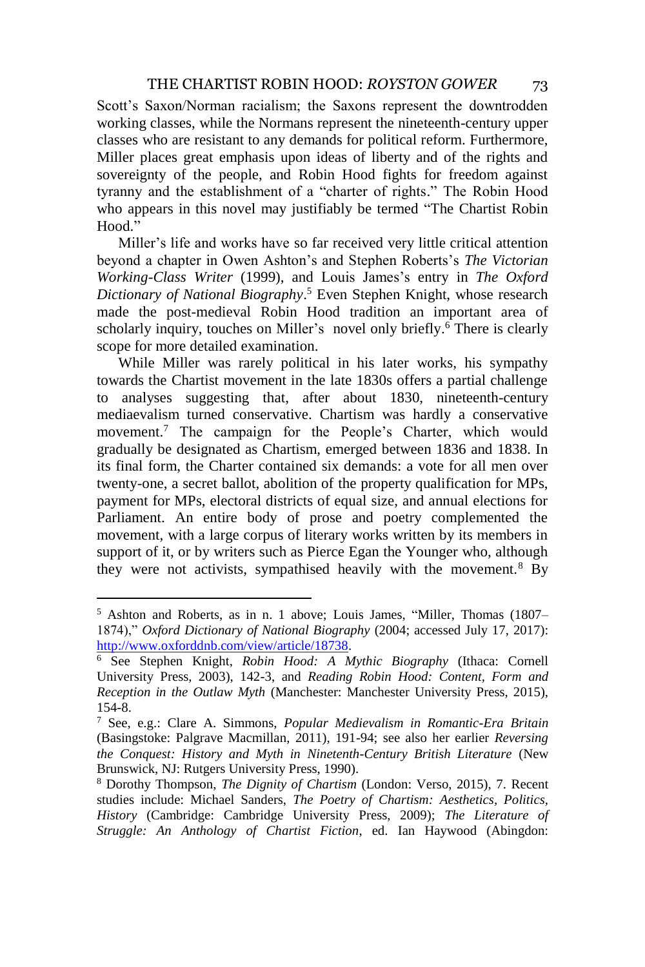Scott's Saxon/Norman racialism; the Saxons represent the downtrodden working classes, while the Normans represent the nineteenth-century upper classes who are resistant to any demands for political reform. Furthermore, Miller places great emphasis upon ideas of liberty and of the rights and sovereignty of the people, and Robin Hood fights for freedom against tyranny and the establishment of a "charter of rights." The Robin Hood who appears in this novel may justifiably be termed "The Chartist Robin Hood<sup>"</sup>

Miller's life and works have so far received very little critical attention beyond a chapter in Owen Ashton's and Stephen Roberts's *The Victorian Working-Class Writer* (1999), and Louis James's entry in *The Oxford Dictionary of National Biography*. <sup>5</sup> Even Stephen Knight, whose research made the post-medieval Robin Hood tradition an important area of scholarly inquiry, touches on Miller's novel only briefly.<sup>6</sup> There is clearly scope for more detailed examination.

While Miller was rarely political in his later works, his sympathy towards the Chartist movement in the late 1830s offers a partial challenge to analyses suggesting that, after about 1830, nineteenth-century mediaevalism turned conservative. Chartism was hardly a conservative movement.<sup>7</sup> The campaign for the People's Charter, which would gradually be designated as Chartism, emerged between 1836 and 1838. In its final form, the Charter contained six demands: a vote for all men over twenty-one, a secret ballot, abolition of the property qualification for MPs, payment for MPs, electoral districts of equal size, and annual elections for Parliament. An entire body of prose and poetry complemented the movement, with a large corpus of literary works written by its members in support of it, or by writers such as Pierce Egan the Younger who, although they were not activists, sympathised heavily with the movement.<sup>8</sup> By

<sup>5</sup> Ashton and Roberts, as in n. 1 above; Louis James, "Miller, Thomas (1807– 1874)," *Oxford Dictionary of National Biography* (2004; accessed July 17, 2017): [http://www.oxforddnb.com/view/article/18738.](http://www.oxforddnb.com/view/article/18738) 

<sup>6</sup> See Stephen Knight, *Robin Hood: A Mythic Biography* (Ithaca: Cornell University Press, 2003), 142-3, and *Reading Robin Hood: Content, Form and Reception in the Outlaw Myth* (Manchester: Manchester University Press, 2015), 154-8.

<sup>7</sup> See, e.g.: Clare A. Simmons, *Popular Medievalism in Romantic-Era Britain* (Basingstoke: Palgrave Macmillan, 2011), 191-94; see also her earlier *Reversing the Conquest: History and Myth in Ninetenth-Century British Literature* (New Brunswick, NJ: Rutgers University Press, 1990).

<sup>8</sup> Dorothy Thompson, *The Dignity of Chartism* (London: Verso, 2015), 7. Recent studies include: Michael Sanders, *The Poetry of Chartism: Aesthetics, Politics, History* (Cambridge: Cambridge University Press, 2009); *The Literature of Struggle: An Anthology of Chartist Fiction*, ed. Ian Haywood (Abingdon: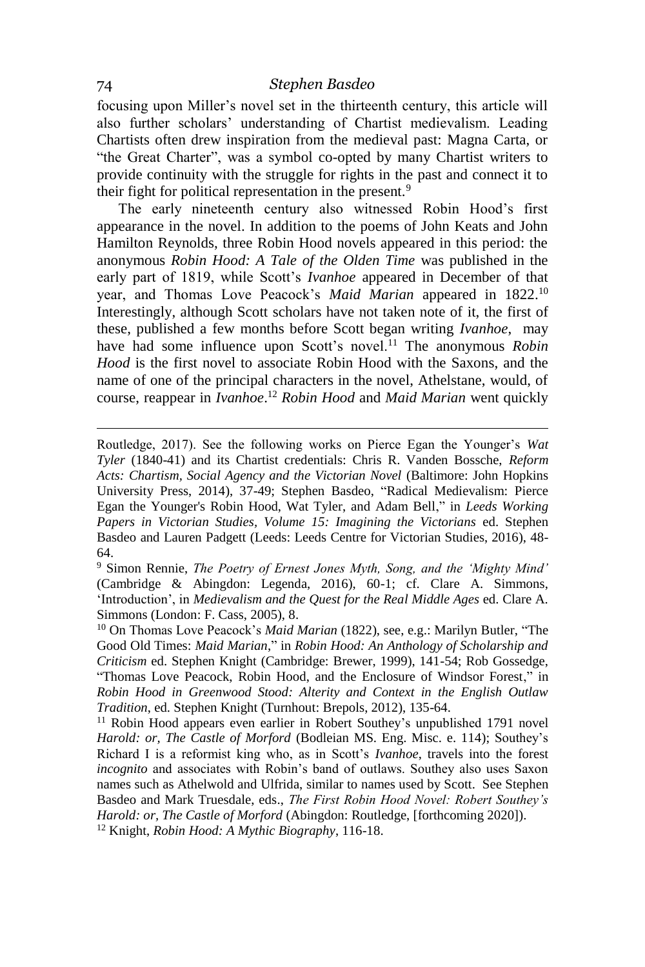focusing upon Miller's novel set in the thirteenth century, this article will also further scholars' understanding of Chartist medievalism. Leading Chartists often drew inspiration from the medieval past: Magna Carta, or "the Great Charter", was a symbol co-opted by many Chartist writers to provide continuity with the struggle for rights in the past and connect it to their fight for political representation in the present.<sup>9</sup>

The early nineteenth century also witnessed Robin Hood's first appearance in the novel. In addition to the poems of John Keats and John Hamilton Reynolds, three Robin Hood novels appeared in this period: the anonymous *Robin Hood: A Tale of the Olden Time* was published in the early part of 1819, while Scott's *Ivanhoe* appeared in December of that year, and Thomas Love Peacock's *Maid Marian* appeared in 1822.<sup>10</sup> Interestingly, although Scott scholars have not taken note of it, the first of these, published a few months before Scott began writing *Ivanhoe*, may have had some influence upon Scott's novel.<sup>11</sup> The anonymous *Robin Hood* is the first novel to associate Robin Hood with the Saxons, and the name of one of the principal characters in the novel, Athelstane, would, of course, reappear in *Ivanhoe*. <sup>12</sup> *Robin Hood* and *Maid Marian* went quickly

<sup>9</sup> Simon Rennie, *The Poetry of Ernest Jones Myth, Song, and the 'Mighty Mind'* (Cambridge & Abingdon: Legenda, 2016), 60-1; cf. Clare A. Simmons, 'Introduction', in *Medievalism and the Quest for the Real Middle Ages* ed. Clare A. Simmons (London: F. Cass, 2005), 8.

1

Routledge, 2017). See the following works on Pierce Egan the Younger's *Wat Tyler* (1840-41) and its Chartist credentials: Chris R. Vanden Bossche, *Reform Acts: Chartism, Social Agency and the Victorian Novel* (Baltimore: John Hopkins University Press, 2014), 37-49; Stephen Basdeo, "Radical Medievalism: Pierce Egan the Younger's Robin Hood, Wat Tyler, and Adam Bell," in *Leeds Working Papers in Victorian Studies, Volume 15: Imagining the Victorians* ed. Stephen Basdeo and Lauren Padgett (Leeds: Leeds Centre for Victorian Studies, 2016), 48- 64.

<sup>10</sup> On Thomas Love Peacock's *Maid Marian* (1822), see, e.g.: Marilyn Butler, "The Good Old Times: *Maid Marian*," in *Robin Hood: An Anthology of Scholarship and Criticism* ed. Stephen Knight (Cambridge: Brewer, 1999), 141-54; Rob Gossedge, "Thomas Love Peacock, Robin Hood, and the Enclosure of Windsor Forest," in *Robin Hood in Greenwood Stood: Alterity and Context in the English Outlaw Tradition*, ed. Stephen Knight (Turnhout: Brepols, 2012), 135-64.

<sup>&</sup>lt;sup>11</sup> Robin Hood appears even earlier in Robert Southey's unpublished 1791 novel *Harold: or, The Castle of Morford* (Bodleian MS. Eng. Misc. e. 114); Southey's Richard I is a reformist king who, as in Scott's *Ivanhoe*, travels into the forest *incognito* and associates with Robin's band of outlaws. Southey also uses Saxon names such as Athelwold and Ulfrida, similar to names used by Scott. See Stephen Basdeo and Mark Truesdale, eds., *The First Robin Hood Novel: Robert Southey's Harold: or, The Castle of Morford* (Abingdon: Routledge, [forthcoming 2020]). <sup>12</sup> Knight, *Robin Hood: A Mythic Biography*, 116-18.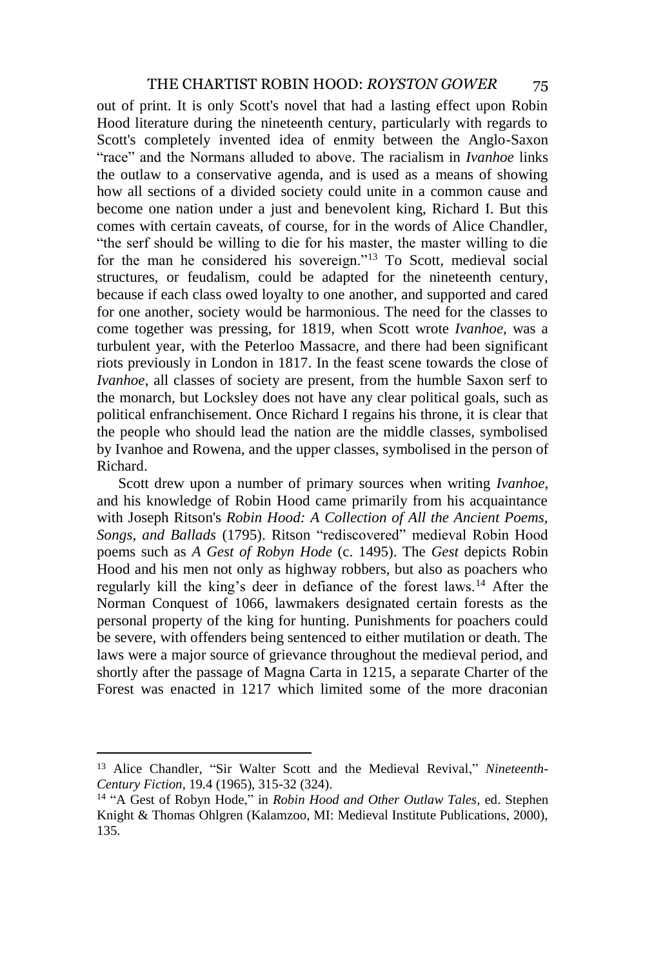out of print. It is only Scott's novel that had a lasting effect upon Robin Hood literature during the nineteenth century, particularly with regards to Scott's completely invented idea of enmity between the Anglo-Saxon "race" and the Normans alluded to above. The racialism in *Ivanhoe* links the outlaw to a conservative agenda, and is used as a means of showing how all sections of a divided society could unite in a common cause and become one nation under a just and benevolent king, Richard I. But this comes with certain caveats, of course, for in the words of Alice Chandler, "the serf should be willing to die for his master, the master willing to die for the man he considered his sovereign."<sup>13</sup> To Scott, medieval social structures, or feudalism, could be adapted for the nineteenth century, because if each class owed loyalty to one another, and supported and cared for one another, society would be harmonious. The need for the classes to come together was pressing, for 1819, when Scott wrote *Ivanhoe*, was a turbulent year, with the Peterloo Massacre, and there had been significant riots previously in London in 1817. In the feast scene towards the close of *Ivanhoe*, all classes of society are present, from the humble Saxon serf to the monarch, but Locksley does not have any clear political goals, such as political enfranchisement. Once Richard I regains his throne, it is clear that the people who should lead the nation are the middle classes, symbolised by Ivanhoe and Rowena, and the upper classes, symbolised in the person of Richard.

Scott drew upon a number of primary sources when writing *Ivanhoe*, and his knowledge of Robin Hood came primarily from his acquaintance with Joseph Ritson's *Robin Hood: A Collection of All the Ancient Poems, Songs, and Ballads* (1795). Ritson "rediscovered" medieval Robin Hood poems such as *A Gest of Robyn Hode* (c. 1495). The *Gest* depicts Robin Hood and his men not only as highway robbers, but also as poachers who regularly kill the king's deer in defiance of the forest laws.<sup>14</sup> After the Norman Conquest of 1066, lawmakers designated certain forests as the personal property of the king for hunting. Punishments for poachers could be severe, with offenders being sentenced to either mutilation or death. The laws were a major source of grievance throughout the medieval period, and shortly after the passage of Magna Carta in 1215, a separate Charter of the Forest was enacted in 1217 which limited some of the more draconian

<sup>13</sup> Alice Chandler, "Sir Walter Scott and the Medieval Revival," *Nineteenth-Century Fiction*, 19.4 (1965), 315-32 (324).

<sup>&</sup>lt;sup>14</sup> "A Gest of Robyn Hode," in *Robin Hood and Other Outlaw Tales*, ed. Stephen Knight & Thomas Ohlgren (Kalamzoo, MI: Medieval Institute Publications, 2000), 135.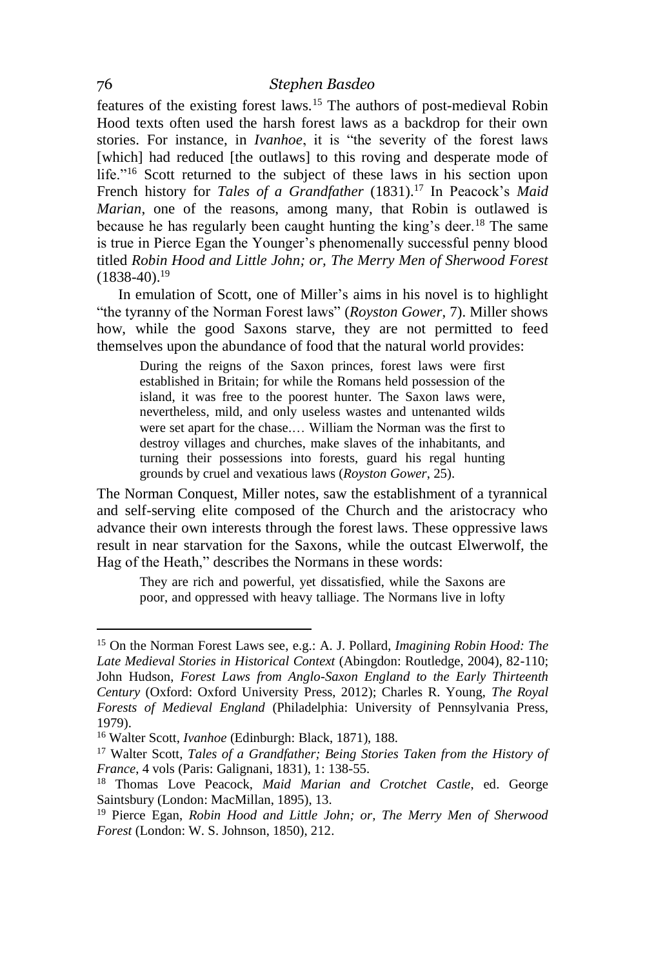features of the existing forest laws.<sup>15</sup> The authors of post-medieval Robin Hood texts often used the harsh forest laws as a backdrop for their own stories. For instance, in *Ivanhoe*, it is "the severity of the forest laws [which] had reduced [the outlaws] to this roving and desperate mode of life."<sup>16</sup> Scott returned to the subject of these laws in his section upon French history for *Tales of a Grandfather* (1831).<sup>17</sup> In Peacock's *Maid Marian*, one of the reasons, among many, that Robin is outlawed is because he has regularly been caught hunting the king's deer.<sup>18</sup> The same is true in Pierce Egan the Younger's phenomenally successful penny blood titled *Robin Hood and Little John; or, The Merry Men of Sherwood Forest*  $(1838-40).$ <sup>19</sup>

In emulation of Scott, one of Miller's aims in his novel is to highlight "the tyranny of the Norman Forest laws" (*Royston Gower*, 7). Miller shows how, while the good Saxons starve, they are not permitted to feed themselves upon the abundance of food that the natural world provides:

During the reigns of the Saxon princes, forest laws were first established in Britain; for while the Romans held possession of the island, it was free to the poorest hunter. The Saxon laws were, nevertheless, mild, and only useless wastes and untenanted wilds were set apart for the chase.… William the Norman was the first to destroy villages and churches, make slaves of the inhabitants, and turning their possessions into forests, guard his regal hunting grounds by cruel and vexatious laws (*Royston Gower*, 25).

The Norman Conquest, Miller notes, saw the establishment of a tyrannical and self-serving elite composed of the Church and the aristocracy who advance their own interests through the forest laws. These oppressive laws result in near starvation for the Saxons, while the outcast Elwerwolf, the Hag of the Heath," describes the Normans in these words:

They are rich and powerful, yet dissatisfied, while the Saxons are poor, and oppressed with heavy talliage. The Normans live in lofty

<sup>15</sup> On the Norman Forest Laws see, e.g.: A. J. Pollard, *Imagining Robin Hood: The Late Medieval Stories in Historical Context* (Abingdon: Routledge, 2004), 82-110; John Hudson, *Forest Laws from Anglo-Saxon England to the Early Thirteenth Century* (Oxford: Oxford University Press, 2012); Charles R. Young, *The Royal Forests of Medieval England* (Philadelphia: University of Pennsylvania Press, 1979).

<sup>16</sup> Walter Scott, *Ivanhoe* (Edinburgh: Black, 1871), 188.

<sup>17</sup> Walter Scott, *Tales of a Grandfather; Being Stories Taken from the History of France*, 4 vols (Paris: Galignani, 1831), 1: 138-55.

<sup>18</sup> Thomas Love Peacock, *Maid Marian and Crotchet Castle*, ed. George Saintsbury (London: MacMillan, 1895), 13.

<sup>19</sup> Pierce Egan, *Robin Hood and Little John; or, The Merry Men of Sherwood Forest* (London: W. S. Johnson, 1850), 212.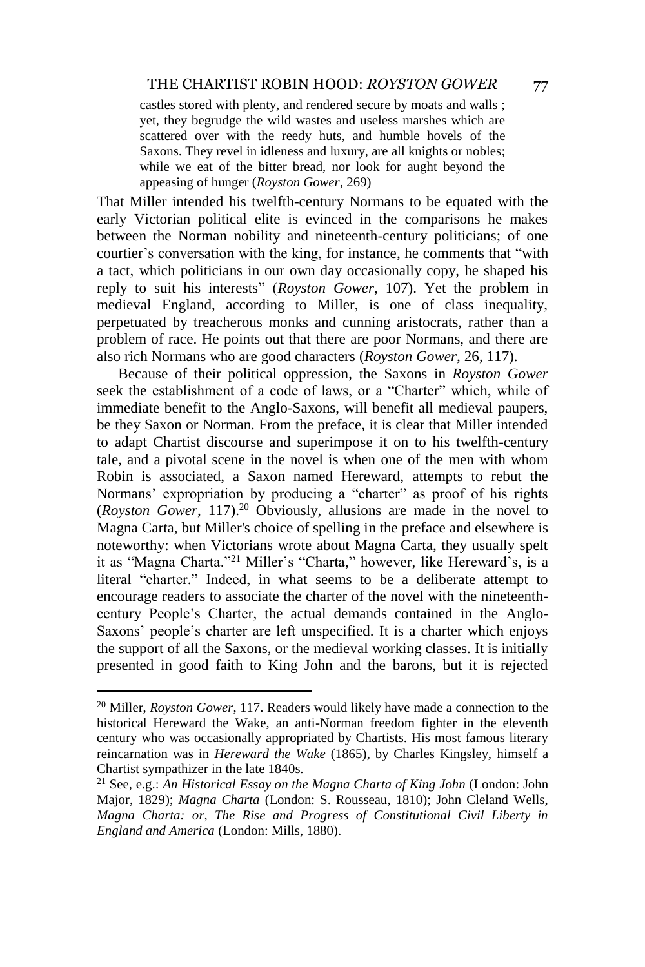castles stored with plenty, and rendered secure by moats and walls ; yet, they begrudge the wild wastes and useless marshes which are scattered over with the reedy huts, and humble hovels of the Saxons. They revel in idleness and luxury, are all knights or nobles; while we eat of the bitter bread, nor look for aught beyond the appeasing of hunger (*Royston Gower*, 269)

That Miller intended his twelfth-century Normans to be equated with the early Victorian political elite is evinced in the comparisons he makes between the Norman nobility and nineteenth-century politicians; of one courtier's conversation with the king, for instance, he comments that "with a tact, which politicians in our own day occasionally copy, he shaped his reply to suit his interests" (*Royston Gower*, 107). Yet the problem in medieval England, according to Miller, is one of class inequality, perpetuated by treacherous monks and cunning aristocrats, rather than a problem of race. He points out that there are poor Normans, and there are also rich Normans who are good characters (*Royston Gower*, 26, 117).

Because of their political oppression, the Saxons in *Royston Gower* seek the establishment of a code of laws, or a "Charter" which, while of immediate benefit to the Anglo-Saxons, will benefit all medieval paupers, be they Saxon or Norman. From the preface, it is clear that Miller intended to adapt Chartist discourse and superimpose it on to his twelfth-century tale, and a pivotal scene in the novel is when one of the men with whom Robin is associated, a Saxon named Hereward, attempts to rebut the Normans' expropriation by producing a "charter" as proof of his rights (*Royston Gower*, 117).<sup>20</sup> Obviously, allusions are made in the novel to Magna Carta, but Miller's choice of spelling in the preface and elsewhere is noteworthy: when Victorians wrote about Magna Carta, they usually spelt it as "Magna Charta."<sup>21</sup> Miller's "Charta," however, like Hereward's, is a literal "charter." Indeed, in what seems to be a deliberate attempt to encourage readers to associate the charter of the novel with the nineteenthcentury People's Charter, the actual demands contained in the Anglo-Saxons' people's charter are left unspecified. It is a charter which enjoys the support of all the Saxons, or the medieval working classes. It is initially presented in good faith to King John and the barons, but it is rejected

<sup>20</sup> Miller, *Royston Gower*, 117. Readers would likely have made a connection to the historical Hereward the Wake, an anti-Norman freedom fighter in the eleventh century who was occasionally appropriated by Chartists. His most famous literary reincarnation was in *Hereward the Wake* (1865), by Charles Kingsley, himself a Chartist sympathizer in the late 1840s.

<sup>21</sup> See, e.g.: *An Historical Essay on the Magna Charta of King John* (London: John Major, 1829); *Magna Charta* (London: S. Rousseau, 1810); John Cleland Wells, *Magna Charta: or, The Rise and Progress of Constitutional Civil Liberty in England and America* (London: Mills, 1880).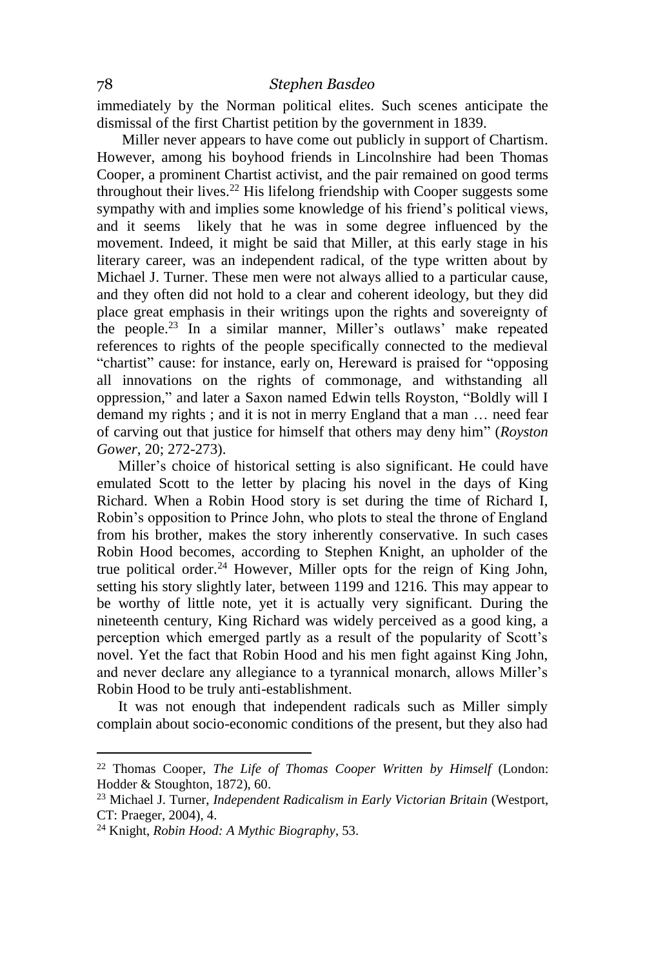immediately by the Norman political elites. Such scenes anticipate the dismissal of the first Chartist petition by the government in 1839.

Miller never appears to have come out publicly in support of Chartism. However, among his boyhood friends in Lincolnshire had been Thomas Cooper, a prominent Chartist activist, and the pair remained on good terms throughout their lives.<sup>22</sup> His lifelong friendship with Cooper suggests some sympathy with and implies some knowledge of his friend's political views, and it seems likely that he was in some degree influenced by the movement. Indeed, it might be said that Miller, at this early stage in his literary career, was an independent radical, of the type written about by Michael J. Turner. These men were not always allied to a particular cause, and they often did not hold to a clear and coherent ideology, but they did place great emphasis in their writings upon the rights and sovereignty of the people.<sup>23</sup> In a similar manner, Miller's outlaws' make repeated references to rights of the people specifically connected to the medieval "chartist" cause: for instance, early on, Hereward is praised for "opposing all innovations on the rights of commonage, and withstanding all oppression," and later a Saxon named Edwin tells Royston, "Boldly will I demand my rights ; and it is not in merry England that a man … need fear of carving out that justice for himself that others may deny him" (*Royston Gower*, 20; 272-273).

Miller's choice of historical setting is also significant. He could have emulated Scott to the letter by placing his novel in the days of King Richard. When a Robin Hood story is set during the time of Richard I, Robin's opposition to Prince John, who plots to steal the throne of England from his brother, makes the story inherently conservative. In such cases Robin Hood becomes, according to Stephen Knight, an upholder of the true political order.<sup>24</sup> However, Miller opts for the reign of King John, setting his story slightly later, between 1199 and 1216. This may appear to be worthy of little note, yet it is actually very significant. During the nineteenth century, King Richard was widely perceived as a good king, a perception which emerged partly as a result of the popularity of Scott's novel. Yet the fact that Robin Hood and his men fight against King John, and never declare any allegiance to a tyrannical monarch, allows Miller's Robin Hood to be truly anti-establishment.

It was not enough that independent radicals such as Miller simply complain about socio-economic conditions of the present, but they also had

<sup>22</sup> Thomas Cooper, *The Life of Thomas Cooper Written by Himself* (London: Hodder & Stoughton, 1872), 60.

<sup>23</sup> Michael J. Turner, *Independent Radicalism in Early Victorian Britain* (Westport, CT: Praeger, 2004), 4.

<sup>24</sup> Knight, *Robin Hood: A Mythic Biography*, 53.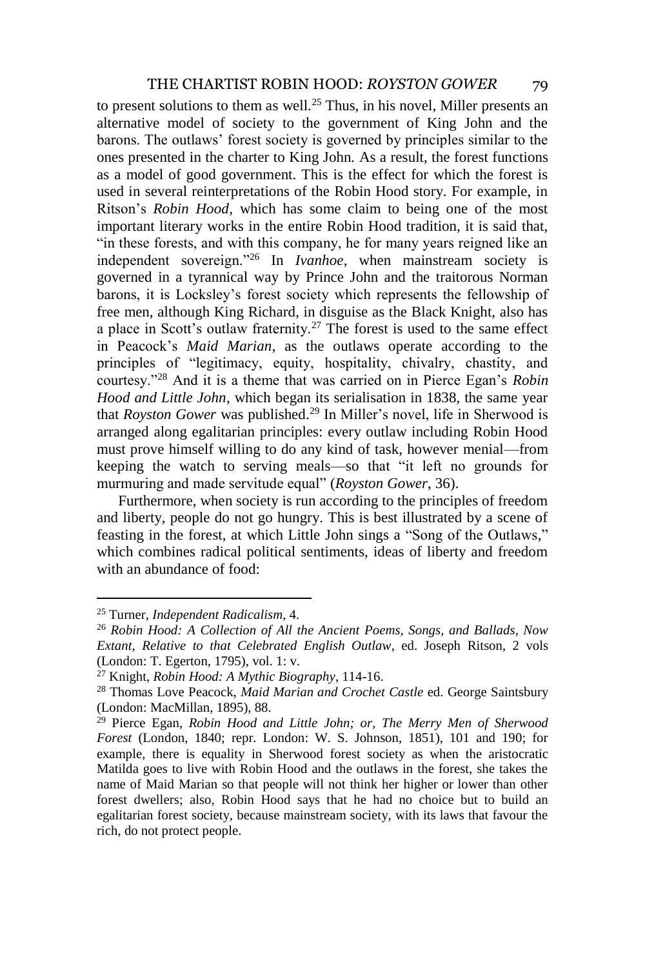to present solutions to them as well.<sup>25</sup> Thus, in his novel, Miller presents an alternative model of society to the government of King John and the barons. The outlaws' forest society is governed by principles similar to the ones presented in the charter to King John. As a result, the forest functions as a model of good government. This is the effect for which the forest is used in several reinterpretations of the Robin Hood story. For example, in Ritson's *Robin Hood*, which has some claim to being one of the most important literary works in the entire Robin Hood tradition, it is said that, "in these forests, and with this company, he for many years reigned like an independent sovereign."<sup>26</sup> In *Ivanhoe*, when mainstream society is governed in a tyrannical way by Prince John and the traitorous Norman barons, it is Locksley's forest society which represents the fellowship of free men, although King Richard, in disguise as the Black Knight, also has a place in Scott's outlaw fraternity.<sup>27</sup> The forest is used to the same effect in Peacock's *Maid Marian*, as the outlaws operate according to the principles of "legitimacy, equity, hospitality, chivalry, chastity, and courtesy."<sup>28</sup> And it is a theme that was carried on in Pierce Egan's *Robin Hood and Little John*, which began its serialisation in 1838, the same year that *Royston Gower* was published.<sup>29</sup> In Miller's novel, life in Sherwood is arranged along egalitarian principles: every outlaw including Robin Hood must prove himself willing to do any kind of task, however menial—from keeping the watch to serving meals—so that "it left no grounds for murmuring and made servitude equal" (*Royston Gower*, 36).

Furthermore, when society is run according to the principles of freedom and liberty, people do not go hungry. This is best illustrated by a scene of feasting in the forest, at which Little John sings a "Song of the Outlaws," which combines radical political sentiments, ideas of liberty and freedom with an abundance of food:

<sup>25</sup> Turner, *Independent Radicalism*, 4.

<sup>26</sup> *Robin Hood: A Collection of All the Ancient Poems, Songs, and Ballads, Now Extant, Relative to that Celebrated English Outlaw*, ed. Joseph Ritson, 2 vols (London: T. Egerton, 1795), vol. 1: v.

<sup>27</sup> Knight, *Robin Hood: A Mythic Biography*, 114-16.

<sup>28</sup> Thomas Love Peacock, *Maid Marian and Crochet Castle* ed. George Saintsbury (London: MacMillan, 1895), 88.

<sup>29</sup> Pierce Egan, *Robin Hood and Little John; or, The Merry Men of Sherwood Forest* (London, 1840; repr. London: W. S. Johnson, 1851), 101 and 190; for example, there is equality in Sherwood forest society as when the aristocratic Matilda goes to live with Robin Hood and the outlaws in the forest, she takes the name of Maid Marian so that people will not think her higher or lower than other forest dwellers; also, Robin Hood says that he had no choice but to build an egalitarian forest society, because mainstream society, with its laws that favour the rich, do not protect people.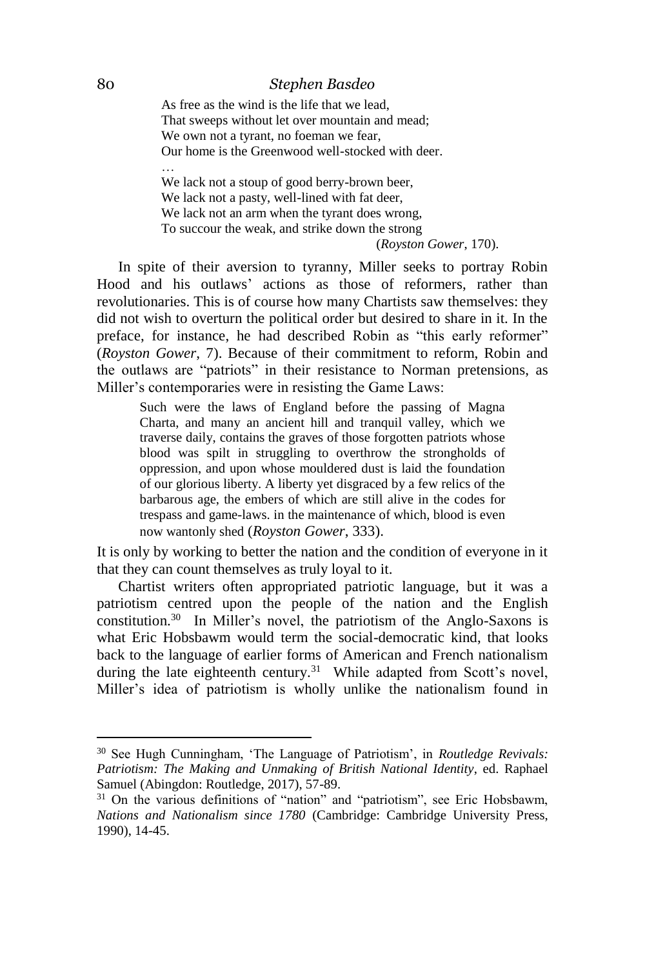#### 80 *Stephen Basdeo*

As free as the wind is the life that we lead, That sweeps without let over mountain and mead; We own not a tyrant, no foeman we fear, Our home is the Greenwood well-stocked with deer.

We lack not a stoup of good berry-brown beer, We lack not a pasty, well-lined with fat deer, We lack not an arm when the tyrant does wrong, To succour the weak, and strike down the strong (*Royston Gower*, 170).

In spite of their aversion to tyranny, Miller seeks to portray Robin Hood and his outlaws' actions as those of reformers, rather than revolutionaries. This is of course how many Chartists saw themselves: they did not wish to overturn the political order but desired to share in it. In the preface, for instance, he had described Robin as "this early reformer" (*Royston Gower*, 7). Because of their commitment to reform, Robin and the outlaws are "patriots" in their resistance to Norman pretensions, as Miller's contemporaries were in resisting the Game Laws:

Such were the laws of England before the passing of Magna Charta, and many an ancient hill and tranquil valley, which we traverse daily, contains the graves of those forgotten patriots whose blood was spilt in struggling to overthrow the strongholds of oppression, and upon whose mouldered dust is laid the foundation of our glorious liberty. A liberty yet disgraced by a few relics of the barbarous age, the embers of which are still alive in the codes for trespass and game-laws. in the maintenance of which, blood is even now wantonly shed (*Royston Gower*, 333).

It is only by working to better the nation and the condition of everyone in it that they can count themselves as truly loyal to it.

Chartist writers often appropriated patriotic language, but it was a patriotism centred upon the people of the nation and the English constitution.<sup>30</sup> In Miller's novel, the patriotism of the Anglo-Saxons is what Eric Hobsbawm would term the social-democratic kind, that looks back to the language of earlier forms of American and French nationalism during the late eighteenth century.<sup>31</sup> While adapted from Scott's novel, Miller's idea of patriotism is wholly unlike the nationalism found in

 $\overline{a}$ 

…

<sup>30</sup> See Hugh Cunningham, 'The Language of Patriotism', in *Routledge Revivals: Patriotism: The Making and Unmaking of British National Identity*, ed. Raphael Samuel (Abingdon: Routledge, 2017), 57-89.

<sup>&</sup>lt;sup>31</sup> On the various definitions of "nation" and "patriotism", see Eric Hobsbawm, *Nations and Nationalism since 1780* (Cambridge: Cambridge University Press, 1990), 14-45.